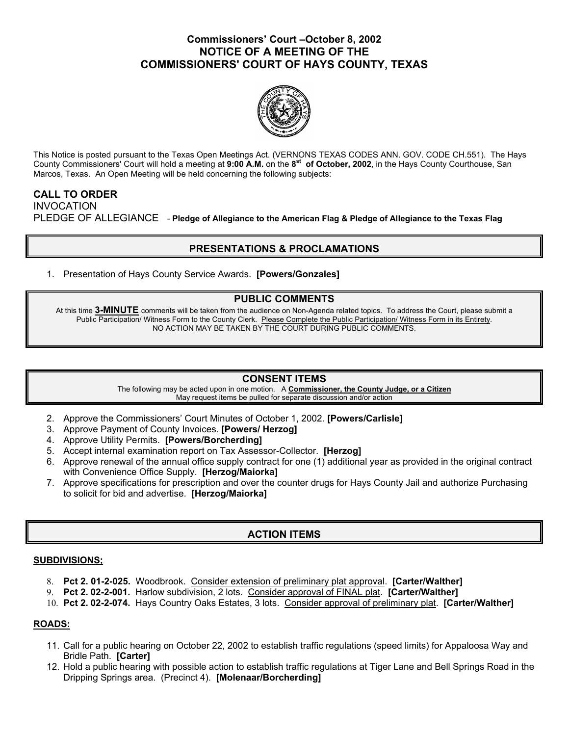## **Commissioners' Court –October 8, 2002 NOTICE OF A MEETING OF THE COMMISSIONERS' COURT OF HAYS COUNTY, TEXAS**



This Notice is posted pursuant to the Texas Open Meetings Act. (VERNONS TEXAS CODES ANN. GOV. CODE CH.551). The Hays County Commissioners' Court will hold a meeting at **9:00 A.M.** on the **8st of October, 2002**, in the Hays County Courthouse, San Marcos, Texas. An Open Meeting will be held concerning the following subjects:

# **CALL TO ORDER**

INVOCATION PLEDGE OF ALLEGIANCE - **Pledge of Allegiance to the American Flag & Pledge of Allegiance to the Texas Flag** 

# **PRESENTATIONS & PROCLAMATIONS**

1. Presentation of Hays County Service Awards. **[Powers/Gonzales]** 

## **PUBLIC COMMENTS**

At this time **3-MINUTE** comments will be taken from the audience on Non-Agenda related topics. To address the Court, please submit a Public Participation/ Witness Form to the County Clerk. Please Complete the Public Participation/ Witness Form in its Entirety. NO ACTION MAY BE TAKEN BY THE COURT DURING PUBLIC COMMENTS.

## **CONSENT ITEMS**

The following may be acted upon in one motion. A **Commissioner, the County Judge, or a Citizen** May request items be pulled for separate discussion and/or action

- 2. Approve the Commissioners' Court Minutes of October 1, 2002. **[Powers/Carlisle]**
- 3. Approve Payment of County Invoices. **[Powers/ Herzog]**
- 4. Approve Utility Permits. **[Powers/Borcherding]**
- 5. Accept internal examination report on Tax Assessor-Collector. **[Herzog]**
- 6. Approve renewal of the annual office supply contract for one (1) additional year as provided in the original contract with Convenience Office Supply. **[Herzog/Maiorka]**
- 7. Approve specifications for prescription and over the counter drugs for Hays County Jail and authorize Purchasing to solicit for bid and advertise. **[Herzog/Maiorka]**

# **ACTION ITEMS**

## **SUBDIVISIONS;**

- 8. **Pct 2. 01-2-025.** Woodbrook. Consider extension of preliminary plat approval. **[Carter/Walther]**
- 9. **Pct 2. 02-2-001.** Harlow subdivision, 2 lots. Consider approval of FINAL plat. **[Carter/Walther]**
- 10. **Pct 2. 02-2-074.** Hays Country Oaks Estates, 3 lots. Consider approval of preliminary plat. **[Carter/Walther]**

## **ROADS:**

- 11. Call for a public hearing on October 22, 2002 to establish traffic regulations (speed limits) for Appaloosa Way and Bridle Path. **[Carter]**
- 12. Hold a public hearing with possible action to establish traffic regulations at Tiger Lane and Bell Springs Road in the Dripping Springs area. (Precinct 4). **[Molenaar/Borcherding]**